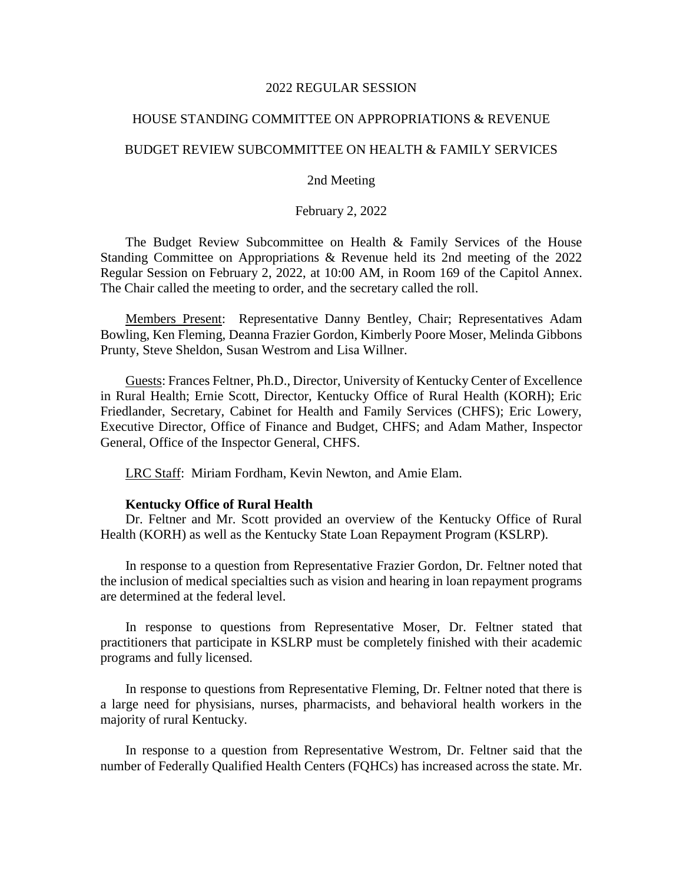#### 2022 REGULAR SESSION

# HOUSE STANDING COMMITTEE ON APPROPRIATIONS & REVENUE

# BUDGET REVIEW SUBCOMMITTEE ON HEALTH & FAMILY SERVICES

# 2nd Meeting

# February 2, 2022

The Budget Review Subcommittee on Health & Family Services of the House Standing Committee on Appropriations & Revenue held its 2nd meeting of the 2022 Regular Session on February 2, 2022, at 10:00 AM, in Room 169 of the Capitol Annex. The Chair called the meeting to order, and the secretary called the roll.

Members Present: Representative Danny Bentley, Chair; Representatives Adam Bowling, Ken Fleming, Deanna Frazier Gordon, Kimberly Poore Moser, Melinda Gibbons Prunty, Steve Sheldon, Susan Westrom and Lisa Willner.

Guests: Frances Feltner, Ph.D., Director, University of Kentucky Center of Excellence in Rural Health; Ernie Scott, Director, Kentucky Office of Rural Health (KORH); Eric Friedlander, Secretary, Cabinet for Health and Family Services (CHFS); Eric Lowery, Executive Director, Office of Finance and Budget, CHFS; and Adam Mather, Inspector General, Office of the Inspector General, CHFS.

LRC Staff: Miriam Fordham, Kevin Newton, and Amie Elam.

#### **Kentucky Office of Rural Health**

Dr. Feltner and Mr. Scott provided an overview of the Kentucky Office of Rural Health (KORH) as well as the Kentucky State Loan Repayment Program (KSLRP).

In response to a question from Representative Frazier Gordon, Dr. Feltner noted that the inclusion of medical specialties such as vision and hearing in loan repayment programs are determined at the federal level.

In response to questions from Representative Moser, Dr. Feltner stated that practitioners that participate in KSLRP must be completely finished with their academic programs and fully licensed.

In response to questions from Representative Fleming, Dr. Feltner noted that there is a large need for physisians, nurses, pharmacists, and behavioral health workers in the majority of rural Kentucky.

In response to a question from Representative Westrom, Dr. Feltner said that the number of Federally Qualified Health Centers (FQHCs) has increased across the state. Mr.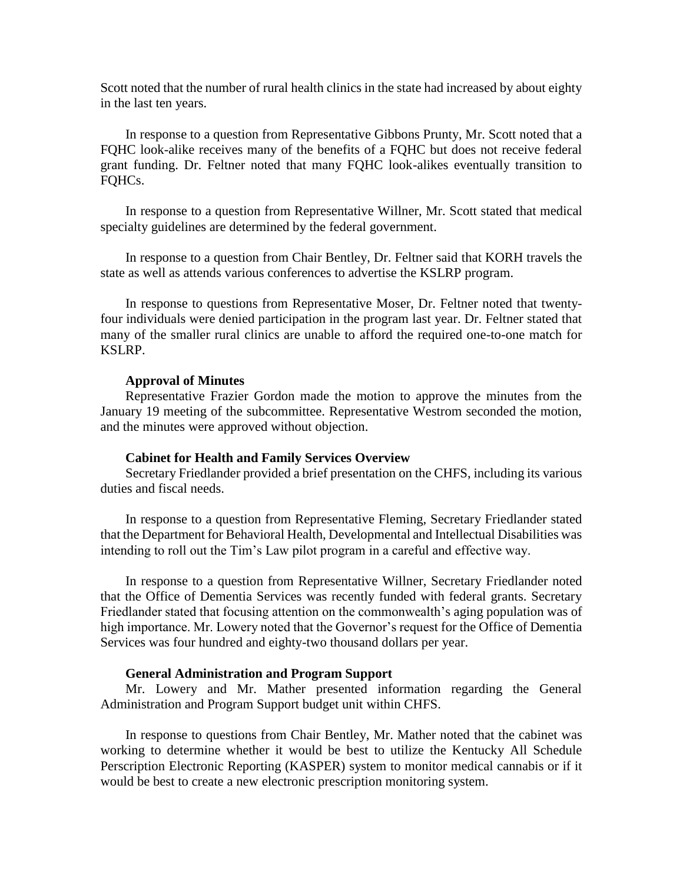Scott noted that the number of rural health clinics in the state had increased by about eighty in the last ten years.

In response to a question from Representative Gibbons Prunty, Mr. Scott noted that a FQHC look-alike receives many of the benefits of a FQHC but does not receive federal grant funding. Dr. Feltner noted that many FQHC look-alikes eventually transition to FQHCs.

In response to a question from Representative Willner, Mr. Scott stated that medical specialty guidelines are determined by the federal government.

In response to a question from Chair Bentley, Dr. Feltner said that KORH travels the state as well as attends various conferences to advertise the KSLRP program.

In response to questions from Representative Moser, Dr. Feltner noted that twentyfour individuals were denied participation in the program last year. Dr. Feltner stated that many of the smaller rural clinics are unable to afford the required one-to-one match for KSLRP.

### **Approval of Minutes**

Representative Frazier Gordon made the motion to approve the minutes from the January 19 meeting of the subcommittee. Representative Westrom seconded the motion, and the minutes were approved without objection.

#### **Cabinet for Health and Family Services Overview**

Secretary Friedlander provided a brief presentation on the CHFS, including its various duties and fiscal needs.

In response to a question from Representative Fleming, Secretary Friedlander stated that the Department for Behavioral Health, Developmental and Intellectual Disabilities was intending to roll out the Tim's Law pilot program in a careful and effective way.

In response to a question from Representative Willner, Secretary Friedlander noted that the Office of Dementia Services was recently funded with federal grants. Secretary Friedlander stated that focusing attention on the commonwealth's aging population was of high importance. Mr. Lowery noted that the Governor's request for the Office of Dementia Services was four hundred and eighty-two thousand dollars per year.

# **General Administration and Program Support**

Mr. Lowery and Mr. Mather presented information regarding the General Administration and Program Support budget unit within CHFS.

In response to questions from Chair Bentley, Mr. Mather noted that the cabinet was working to determine whether it would be best to utilize the Kentucky All Schedule Perscription Electronic Reporting (KASPER) system to monitor medical cannabis or if it would be best to create a new electronic prescription monitoring system.